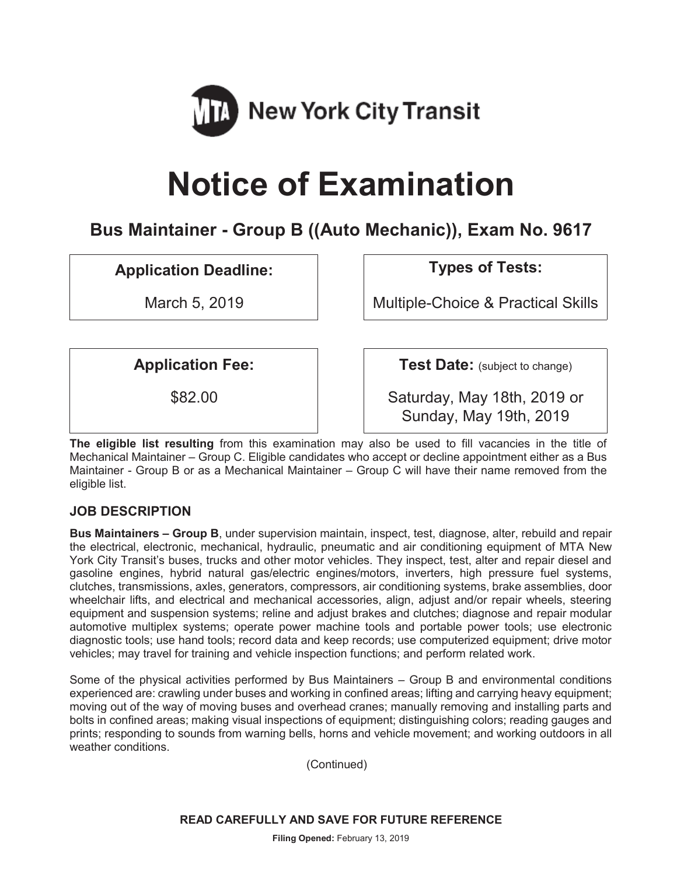

# **Notice of Examination**

# **Bus Maintainer - Group B ((Auto Mechanic)), Exam No. 9617**

**Application Deadline: Types of Tests:** 

March 5, 2019 **Multiple-Choice & Practical Skills** 

**Application Fee:**  $\vert$  **Test Date:** (subject to change)

\$82.00 Saturday, May 18th, 2019 or Sunday, May 19th, 2019

**The eligible list resulting** from this examination may also be used to fill vacancies in the title of Mechanical Maintainer – Group C. Eligible candidates who accept or decline appointment either as a Bus Maintainer - Group B or as a Mechanical Maintainer – Group C will have their name removed from the eligible list.

# **JOB DESCRIPTION**

**Bus Maintainers – Group B**, under supervision maintain, inspect, test, diagnose, alter, rebuild and repair the electrical, electronic, mechanical, hydraulic, pneumatic and air conditioning equipment of MTA New York City Transit's buses, trucks and other motor vehicles. They inspect, test, alter and repair diesel and gasoline engines, hybrid natural gas/electric engines/motors, inverters, high pressure fuel systems, clutches, transmissions, axles, generators, compressors, air conditioning systems, brake assemblies, door wheelchair lifts, and electrical and mechanical accessories, align, adjust and/or repair wheels, steering equipment and suspension systems; reline and adjust brakes and clutches; diagnose and repair modular automotive multiplex systems; operate power machine tools and portable power tools; use electronic diagnostic tools; use hand tools; record data and keep records; use computerized equipment; drive motor vehicles; may travel for training and vehicle inspection functions; and perform related work.

Some of the physical activities performed by Bus Maintainers – Group B and environmental conditions experienced are: crawling under buses and working in confined areas; lifting and carrying heavy equipment; moving out of the way of moving buses and overhead cranes; manually removing and installing parts and bolts in confined areas; making visual inspections of equipment; distinguishing colors; reading gauges and prints; responding to sounds from warning bells, horns and vehicle movement; and working outdoors in all weather conditions.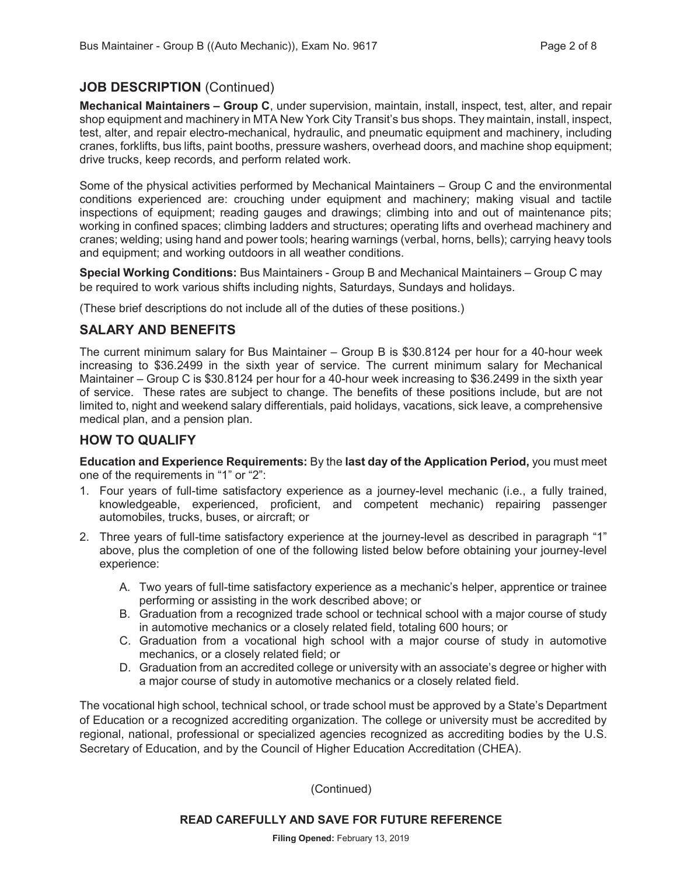# **JOB DESCRIPTION** (Continued)

**Mechanical Maintainers – Group C**, under supervision, maintain, install, inspect, test, alter, and repair shop equipment and machinery in MTA New York City Transit's bus shops. They maintain, install, inspect, test, alter, and repair electro-mechanical, hydraulic, and pneumatic equipment and machinery, including cranes, forklifts, bus lifts, paint booths, pressure washers, overhead doors, and machine shop equipment; drive trucks, keep records, and perform related work.

Some of the physical activities performed by Mechanical Maintainers – Group C and the environmental conditions experienced are: crouching under equipment and machinery; making visual and tactile inspections of equipment; reading gauges and drawings; climbing into and out of maintenance pits; working in confined spaces; climbing ladders and structures; operating lifts and overhead machinery and cranes; welding; using hand and power tools; hearing warnings (verbal, horns, bells); carrying heavy tools and equipment; and working outdoors in all weather conditions.

**Special Working Conditions:** Bus Maintainers - Group B and Mechanical Maintainers – Group C may be required to work various shifts including nights, Saturdays, Sundays and holidays.

(These brief descriptions do not include all of the duties of these positions.)

# **SALARY AND BENEFITS**

The current minimum salary for Bus Maintainer – Group B is \$30.8124 per hour for a 40-hour week increasing to \$36.2499 in the sixth year of service. The current minimum salary for Mechanical Maintainer – Group C is \$30.8124 per hour for a 40-hour week increasing to \$36.2499 in the sixth year of service. These rates are subject to change. The benefits of these positions include, but are not limited to, night and weekend salary differentials, paid holidays, vacations, sick leave, a comprehensive medical plan, and a pension plan.

## **HOW TO QUALIFY**

**Education and Experience Requirements:** By the **last day of the Application Period,** you must meet one of the requirements in "1" or "2":

- 1. Four years of full-time satisfactory experience as a journey-level mechanic (i.e., a fully trained, knowledgeable, experienced, proficient, and competent mechanic) repairing passenger automobiles, trucks, buses, or aircraft; or
- 2. Three years of full-time satisfactory experience at the journey-level as described in paragraph "1" above, plus the completion of one of the following listed below before obtaining your journey-level experience:
	- A. Two years of full-time satisfactory experience as a mechanic's helper, apprentice or trainee performing or assisting in the work described above; or
	- B. Graduation from a recognized trade school or technical school with a major course of study in automotive mechanics or a closely related field, totaling 600 hours; or
	- C. Graduation from a vocational high school with a major course of study in automotive mechanics, or a closely related field; or
	- D. Graduation from an accredited college or university with an associate's degree or higher with a major course of study in automotive mechanics or a closely related field.

The vocational high school, technical school, or trade school must be approved by a State's Department of Education or a recognized accrediting organization. The college or university must be accredited by regional, national, professional or specialized agencies recognized as accrediting bodies by the U.S. Secretary of Education, and by the Council of Higher Education Accreditation (CHEA).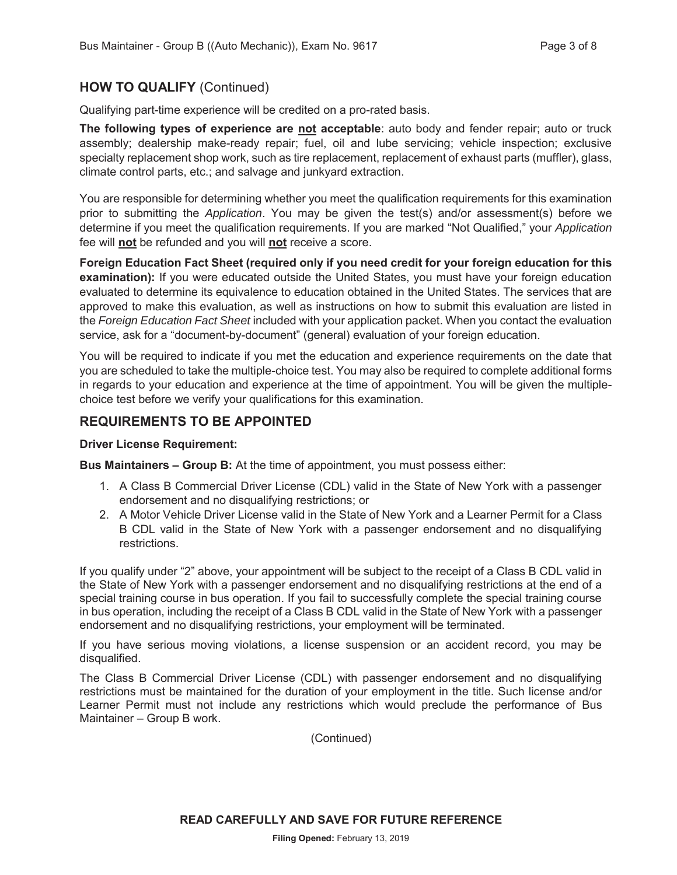## **HOW TO QUALIFY** (Continued)

Qualifying part-time experience will be credited on a pro-rated basis.

**The following types of experience are not acceptable**: auto body and fender repair; auto or truck assembly; dealership make-ready repair; fuel, oil and lube servicing; vehicle inspection; exclusive specialty replacement shop work, such as tire replacement, replacement of exhaust parts (muffler), glass, climate control parts, etc.; and salvage and junkyard extraction.

You are responsible for determining whether you meet the qualification requirements for this examination prior to submitting the *Application*. You may be given the test(s) and/or assessment(s) before we determine if you meet the qualification requirements. If you are marked "Not Qualified," your *Application* fee will **not** be refunded and you will **not** receive a score.

**Foreign Education Fact Sheet (required only if you need credit for your foreign education for this examination):** If you were educated outside the United States, you must have your foreign education evaluated to determine its equivalence to education obtained in the United States. The services that are approved to make this evaluation, as well as instructions on how to submit this evaluation are listed in the *Foreign Education Fact Sheet* included with your application packet. When you contact the evaluation service, ask for a "document-by-document" (general) evaluation of your foreign education.

You will be required to indicate if you met the education and experience requirements on the date that you are scheduled to take the multiple-choice test. You may also be required to complete additional forms in regards to your education and experience at the time of appointment. You will be given the multiplechoice test before we verify your qualifications for this examination.

#### **REQUIREMENTS TO BE APPOINTED**

**Driver License Requirement:** 

**Bus Maintainers – Group B:** At the time of appointment, you must possess either:

- 1. A Class B Commercial Driver License (CDL) valid in the State of New York with a passenger endorsement and no disqualifying restrictions; or
- 2. A Motor Vehicle Driver License valid in the State of New York and a Learner Permit for a Class B CDL valid in the State of New York with a passenger endorsement and no disqualifying restrictions.

If you qualify under "2" above, your appointment will be subject to the receipt of a Class B CDL valid in the State of New York with a passenger endorsement and no disqualifying restrictions at the end of a special training course in bus operation. If you fail to successfully complete the special training course in bus operation, including the receipt of a Class B CDL valid in the State of New York with a passenger endorsement and no disqualifying restrictions, your employment will be terminated.

If you have serious moving violations, a license suspension or an accident record, you may be disqualified.

The Class B Commercial Driver License (CDL) with passenger endorsement and no disqualifying restrictions must be maintained for the duration of your employment in the title. Such license and/or Learner Permit must not include any restrictions which would preclude the performance of Bus Maintainer – Group B work.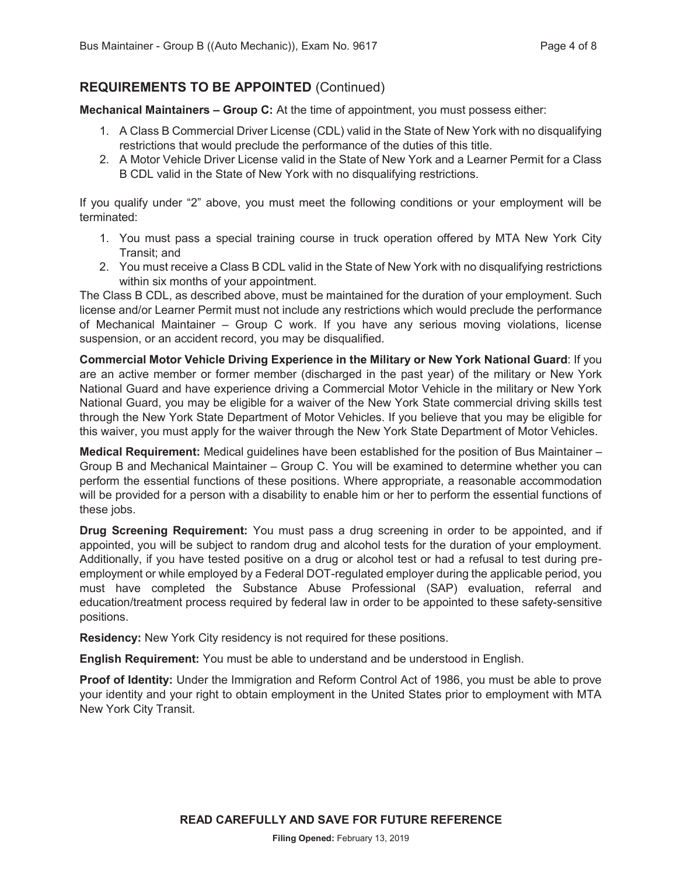# **REQUIREMENTS TO BE APPOINTED** (Continued)

**Mechanical Maintainers – Group C:** At the time of appointment, you must possess either:

- 1. A Class B Commercial Driver License (CDL) valid in the State of New York with no disqualifying restrictions that would preclude the performance of the duties of this title.
- 2. A Motor Vehicle Driver License valid in the State of New York and a Learner Permit for a Class B CDL valid in the State of New York with no disqualifying restrictions.

If you qualify under "2" above, you must meet the following conditions or your employment will be terminated:

- 1. You must pass a special training course in truck operation offered by MTA New York City Transit; and
- 2. You must receive a Class B CDL valid in the State of New York with no disqualifying restrictions within six months of your appointment.

The Class B CDL, as described above, must be maintained for the duration of your employment. Such license and/or Learner Permit must not include any restrictions which would preclude the performance of Mechanical Maintainer – Group C work. If you have any serious moving violations, license suspension, or an accident record, you may be disqualified.

**Commercial Motor Vehicle Driving Experience in the Military or New York National Guard**: If you are an active member or former member (discharged in the past year) of the military or New York National Guard and have experience driving a Commercial Motor Vehicle in the military or New York National Guard, you may be eligible for a waiver of the New York State commercial driving skills test through the New York State Department of Motor Vehicles. If you believe that you may be eligible for this waiver, you must apply for the waiver through the New York State Department of Motor Vehicles.

**Medical Requirement:** Medical guidelines have been established for the position of Bus Maintainer – Group B and Mechanical Maintainer – Group C. You will be examined to determine whether you can perform the essential functions of these positions. Where appropriate, a reasonable accommodation will be provided for a person with a disability to enable him or her to perform the essential functions of these jobs.

**Drug Screening Requirement:** You must pass a drug screening in order to be appointed, and if appointed, you will be subject to random drug and alcohol tests for the duration of your employment. Additionally, if you have tested positive on a drug or alcohol test or had a refusal to test during preemployment or while employed by a Federal DOT-regulated employer during the applicable period, you must have completed the Substance Abuse Professional (SAP) evaluation, referral and education/treatment process required by federal law in order to be appointed to these safety-sensitive positions.

**Residency:** New York City residency is not required for these positions.

**English Requirement:** You must be able to understand and be understood in English.

**Proof of Identity:** Under the Immigration and Reform Control Act of 1986, you must be able to prove your identity and your right to obtain employment in the United States prior to employment with MTA New York City Transit.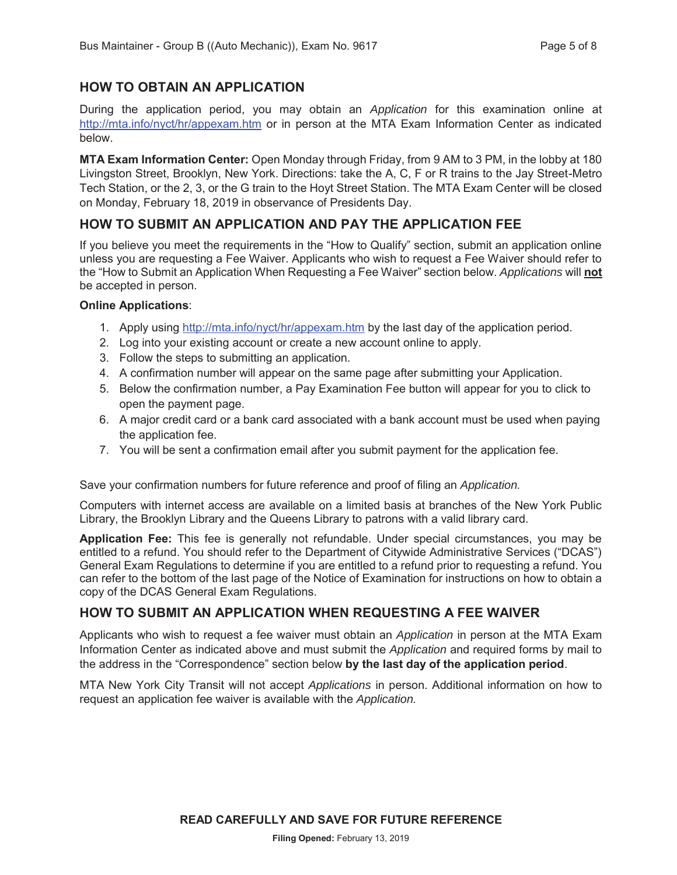# **HOW TO OBTAIN AN APPLICATION**

During the application period, you may obtain an *Application* for this examination online at http://mta.info/nyct/hr/appexam.htm or in person at the MTA Exam Information Center as indicated below.

**MTA Exam Information Center:** Open Monday through Friday, from 9 AM to 3 PM, in the lobby at 180 Livingston Street, Brooklyn, New York. Directions: take the A, C, F or R trains to the Jay Street-Metro Tech Station, or the 2, 3, or the G train to the Hoyt Street Station. The MTA Exam Center will be closed on Monday, February 18, 2019 in observance of Presidents Day.

# **HOW TO SUBMIT AN APPLICATION AND PAY THE APPLICATION FEE**

If you believe you meet the requirements in the "How to Qualify" section, submit an application online unless you are requesting a Fee Waiver. Applicants who wish to request a Fee Waiver should refer to the "How to Submit an Application When Requesting a Fee Waiver" section below. *Applications* will **not** be accepted in person.

#### **Online Applications**:

- 1. Apply using http://mta.info/nyct/hr/appexam.htm by the last day of the application period.
- 2. Log into your existing account or create a new account online to apply.
- 3. Follow the steps to submitting an application.
- 4. A confirmation number will appear on the same page after submitting your Application.
- 5. Below the confirmation number, a Pay Examination Fee button will appear for you to click to open the payment page.
- 6. A major credit card or a bank card associated with a bank account must be used when paying the application fee.
- 7. You will be sent a confirmation email after you submit payment for the application fee.

Save your confirmation numbers for future reference and proof of filing an *Application.*

Computers with internet access are available on a limited basis at branches of the New York Public Library, the Brooklyn Library and the Queens Library to patrons with a valid library card.

**Application Fee:** This fee is generally not refundable. Under special circumstances, you may be entitled to a refund. You should refer to the Department of Citywide Administrative Services ("DCAS") General Exam Regulations to determine if you are entitled to a refund prior to requesting a refund. You can refer to the bottom of the last page of the Notice of Examination for instructions on how to obtain a copy of the DCAS General Exam Regulations.

# **HOW TO SUBMIT AN APPLICATION WHEN REQUESTING A FEE WAIVER**

Applicants who wish to request a fee waiver must obtain an *Application* in person at the MTA Exam Information Center as indicated above and must submit the *Application* and required forms by mail to the address in the "Correspondence" section below **by the last day of the application period**.

MTA New York City Transit will not accept *Applications* in person. Additional information on how to request an application fee waiver is available with the *Application.*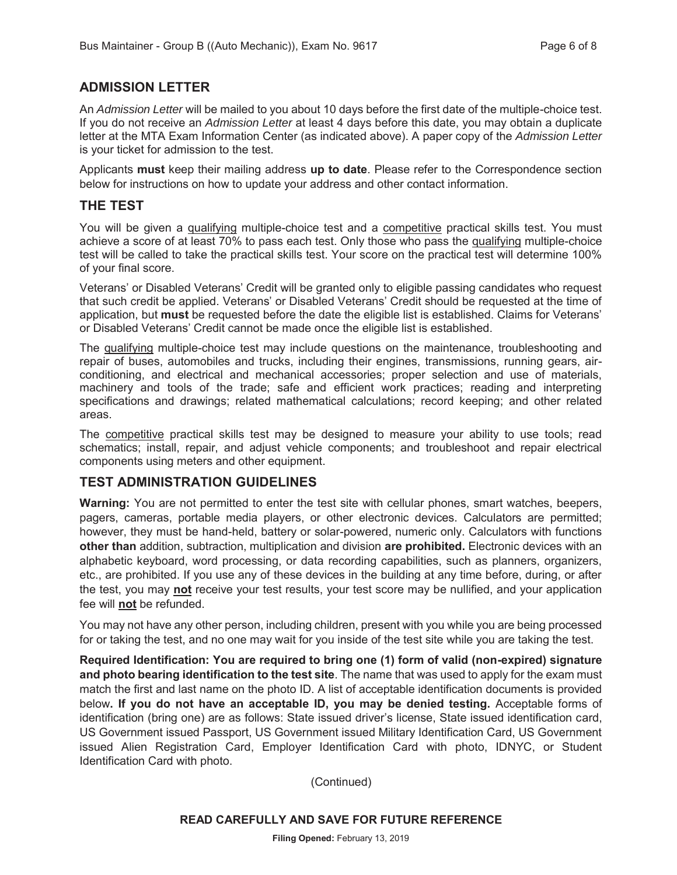#### **ADMISSION LETTER**

An *Admission Letter* will be mailed to you about 10 days before the first date of the multiple-choice test. If you do not receive an *Admission Letter* at least 4 days before this date, you may obtain a duplicate letter at the MTA Exam Information Center (as indicated above). A paper copy of the *Admission Letter* is your ticket for admission to the test.

Applicants **must** keep their mailing address **up to date**. Please refer to the Correspondence section below for instructions on how to update your address and other contact information.

#### **THE TEST**

You will be given a qualifying multiple-choice test and a competitive practical skills test. You must achieve a score of at least 70% to pass each test. Only those who pass the qualifying multiple-choice test will be called to take the practical skills test. Your score on the practical test will determine 100% of your final score.

Veterans' or Disabled Veterans' Credit will be granted only to eligible passing candidates who request that such credit be applied. Veterans' or Disabled Veterans' Credit should be requested at the time of application, but **must** be requested before the date the eligible list is established. Claims for Veterans' or Disabled Veterans' Credit cannot be made once the eligible list is established.

The qualifying multiple-choice test may include questions on the maintenance, troubleshooting and repair of buses, automobiles and trucks, including their engines, transmissions, running gears, airconditioning, and electrical and mechanical accessories; proper selection and use of materials, machinery and tools of the trade; safe and efficient work practices; reading and interpreting specifications and drawings; related mathematical calculations; record keeping; and other related areas.

The competitive practical skills test may be designed to measure your ability to use tools; read schematics; install, repair, and adjust vehicle components; and troubleshoot and repair electrical components using meters and other equipment.

#### **TEST ADMINISTRATION GUIDELINES**

**Warning:** You are not permitted to enter the test site with cellular phones, smart watches, beepers, pagers, cameras, portable media players, or other electronic devices. Calculators are permitted; however, they must be hand-held, battery or solar-powered, numeric only. Calculators with functions **other than** addition, subtraction, multiplication and division **are prohibited.** Electronic devices with an alphabetic keyboard, word processing, or data recording capabilities, such as planners, organizers, etc., are prohibited. If you use any of these devices in the building at any time before, during, or after the test, you may **not** receive your test results, your test score may be nullified, and your application fee will **not** be refunded.

You may not have any other person, including children, present with you while you are being processed for or taking the test, and no one may wait for you inside of the test site while you are taking the test.

**Required Identification: You are required to bring one (1) form of valid (non-expired) signature and photo bearing identification to the test site**. The name that was used to apply for the exam must match the first and last name on the photo ID. A list of acceptable identification documents is provided below**. If you do not have an acceptable ID, you may be denied testing.** Acceptable forms of identification (bring one) are as follows: State issued driver's license, State issued identification card, US Government issued Passport, US Government issued Military Identification Card, US Government issued Alien Registration Card, Employer Identification Card with photo, IDNYC, or Student Identification Card with photo.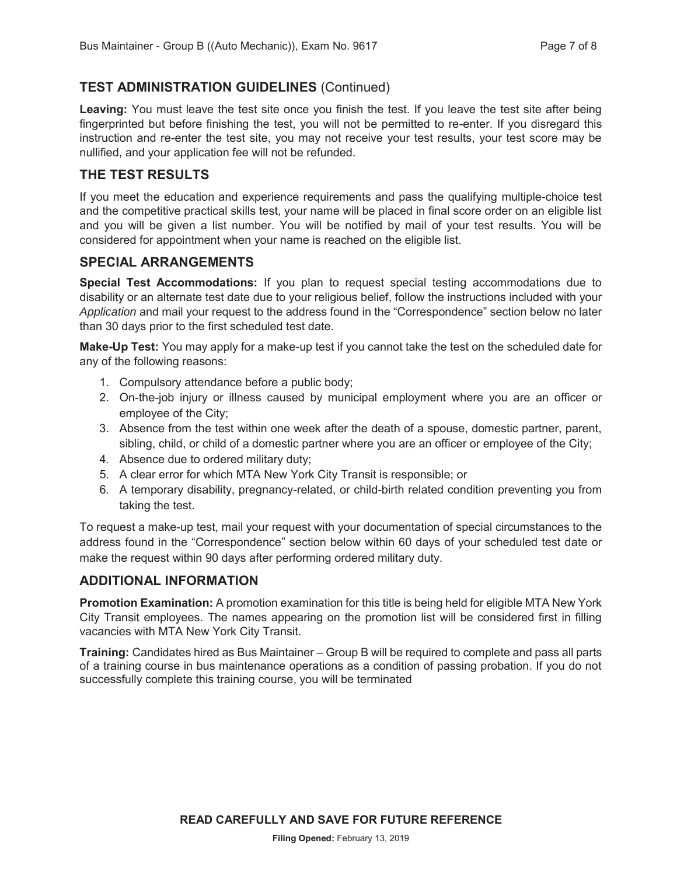# **TEST ADMINISTRATION GUIDELINES** (Continued)

Leaving: You must leave the test site once you finish the test. If you leave the test site after being fingerprinted but before finishing the test, you will not be permitted to re-enter. If you disregard this instruction and re-enter the test site, you may not receive your test results, your test score may be nullified, and your application fee will not be refunded.

# **THE TEST RESULTS**

If you meet the education and experience requirements and pass the qualifying multiple-choice test and the competitive practical skills test, your name will be placed in final score order on an eligible list and you will be given a list number. You will be notified by mail of your test results. You will be considered for appointment when your name is reached on the eligible list.

#### **SPECIAL ARRANGEMENTS**

**Special Test Accommodations:** If you plan to request special testing accommodations due to disability or an alternate test date due to your religious belief, follow the instructions included with your *Application* and mail your request to the address found in the "Correspondence" section below no later than 30 days prior to the first scheduled test date.

**Make-Up Test:** You may apply for a make-up test if you cannot take the test on the scheduled date for any of the following reasons:

- 1. Compulsory attendance before a public body;
- 2. On-the-job injury or illness caused by municipal employment where you are an officer or employee of the City;
- 3. Absence from the test within one week after the death of a spouse, domestic partner, parent, sibling, child, or child of a domestic partner where you are an officer or employee of the City;
- 4. Absence due to ordered military duty;
- 5. A clear error for which MTA New York City Transit is responsible; or
- 6. A temporary disability, pregnancy-related, or child-birth related condition preventing you from taking the test.

To request a make-up test, mail your request with your documentation of special circumstances to the address found in the "Correspondence" section below within 60 days of your scheduled test date or make the request within 90 days after performing ordered military duty.

## **ADDITIONAL INFORMATION**

**Promotion Examination:** A promotion examination for this title is being held for eligible MTA New York City Transit employees. The names appearing on the promotion list will be considered first in filling vacancies with MTA New York City Transit.

**Training:** Candidates hired as Bus Maintainer – Group B will be required to complete and pass all parts of a training course in bus maintenance operations as a condition of passing probation. If you do not successfully complete this training course, you will be terminated